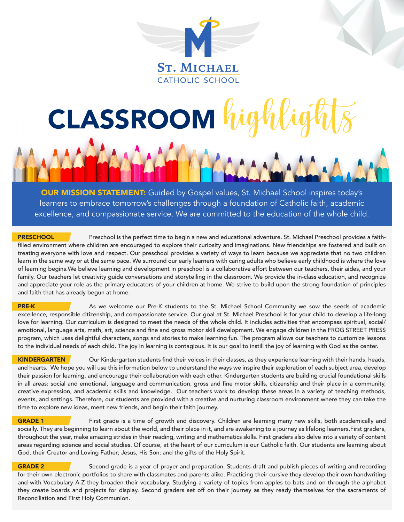

# CLASSROOM high

OUR MISSION STATEMENT: Guided by Gospel values, St. Michael School inspires today's learners to embrace tomorrow's challenges through a foundation of Catholic faith, academic excellence, and compassionate service. We are committed to the education of the whole child.

PRESCHOOL Preschool is the perfect time to begin a new and educational adventure. St. Michael Preschool provides a faithfilled environment where children are encouraged to explore their curiosity and imaginations. New friendships are fostered and built on treating everyone with love and respect. Our preschool provides a variety of ways to learn because we appreciate that no two children learn in the same way or at the same pace. We surround our early learners with caring adults who believe early childhood is where the love of learning begins.We believe learning and development in preschool is a collaborative effort between our teachers, their aides, and your family. Our teachers let creativity quide conversations and storytelling in the classroom. We provide the in-class education, and recognize and appreciate your role as the primary educators of your children at home. We strive to build upon the strong foundation of principles and faith that has already begun at home.

**PRE-K** As we welcome our Pre-K students to the St. Michael School Community we sow the seeds of academic excellence, responsible citizenship, and compassionate service. Our goal at St. Michael Preschool is for your child to develop a life-long love for learning. Our curriculum is designed to meet the needs of the whole child. It includes activities that encompass spiritual, social/ emotional, language arts, math, art, science and fine and gross motor skill development. We engage children in the FROG STREET PRESS program, which uses delightful characters, songs and stories to make learning fun. The program allows our teachers to customize lessons to the individual needs of each child. The joy in learning is contagious. It is our goal to instill the joy of learning with God as the center.

KINDERGARTEN Our Kindergarten students find their voices in their classes, as they experience learning with their hands, heads, and hearts. We hope you will use this information below to understand the ways we inspire their exploration of each subject area, develop their passion for learning, and encourage their collaboration with each other. Kindergarten students are building crucial foundational skills in all areas: social and emotional, language and communication, gross and fine motor skills, citizenship and their place in a community, creative expression, and academic skills and knowledge. Our teachers work to develop these areas in a variety of teaching methods, events, and settings. Therefore, our students are provided with a creative and nurturing classroom environment where they can take the time to explore new ideas, meet new friends, and begin their faith journey.

**GRADE 1** First grade is a time of growth and discovery. Children are learning many new skills, both academically and socially. They are beginning to learn about the world, and their place in it, and are awakening to a journey as lifelong learners.First graders, throughout the year, make amazing strides in their reading, writing and mathematics skills. First graders also delve into a variety of content areas regarding science and social studies. Of course, at the heart of our curriculum is our Catholic faith. Our students are learning about God, their Creator and Loving Father; Jesus, His Son; and the gifts of the Holy Spirit.

**GRADE 2** Second grade is a year of prayer and preparation. Students draft and publish pieces of writing and recording for their own electronic portfolios to share with classmates and parents alike. Practicing their cursive they develop their own handwriting and with Vocabulary A-Z they broaden their vocabulary. Studying a variety of topics from apples to bats and on through the alphabet they create boards and projects for display. Second graders set off on their journey as they ready themselves for the sacraments of Reconciliation and First Holy Communion.